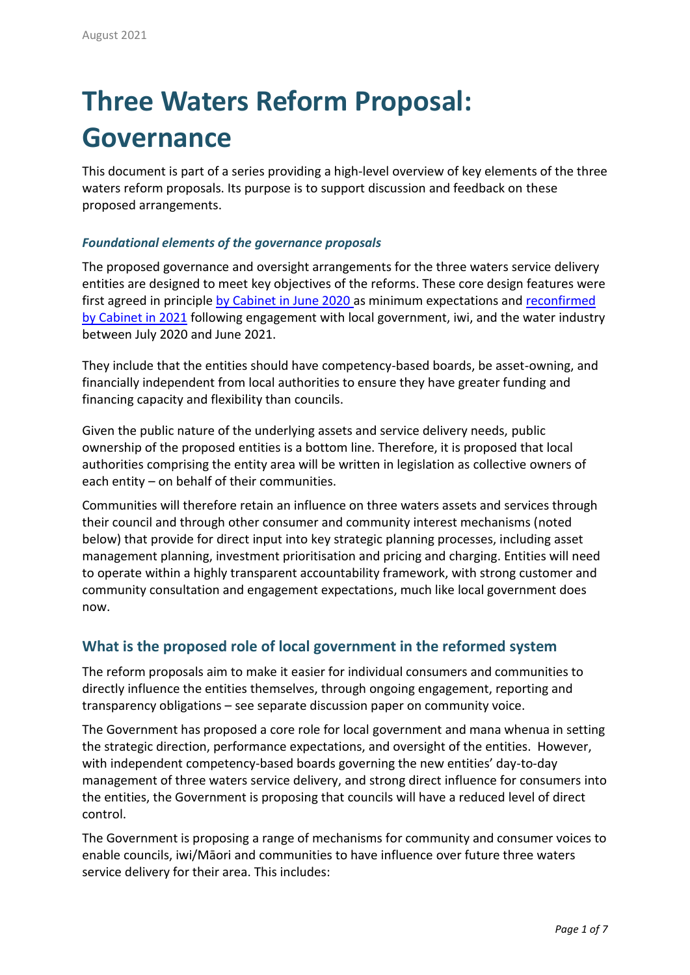# **Three Waters Reform Proposal: Governance**

This document is part of a series providing a high-level overview of key elements of the three waters reform proposals. Its purpose is to support discussion and feedback on these proposed arrangements.

### *Foundational elements of the governance proposals*

The proposed governance and oversight arrangements for the three waters service delivery entities are designed to meet key objectives of the reforms. These core design features were first agreed in principle [by Cabinet in June 2020](https://www.dia.govt.nz/diawebsite.nsf/Files/Proactive-releases/$file/Investing-in-water-infrastructure-to-accelerate-reform-and-support-economic-recovery-post-Covid-19.pdf) as minimum expectations and [reconfirmed](https://www.dia.govt.nz/Three-Waters-Reform-Programme#june-2021-update)  [by Cabinet in 2021](https://www.dia.govt.nz/Three-Waters-Reform-Programme#june-2021-update) following engagement with local government, iwi, and the water industry between July 2020 and June 2021.

They include that the entities should have competency-based boards, be asset-owning, and financially independent from local authorities to ensure they have greater funding and financing capacity and flexibility than councils.

Given the public nature of the underlying assets and service delivery needs, public ownership of the proposed entities is a bottom line. Therefore, it is proposed that local authorities comprising the entity area will be written in legislation as collective owners of each entity – on behalf of their communities.

Communities will therefore retain an influence on three waters assets and services through their council and through other consumer and community interest mechanisms (noted below) that provide for direct input into key strategic planning processes, including asset management planning, investment prioritisation and pricing and charging. Entities will need to operate within a highly transparent accountability framework, with strong customer and community consultation and engagement expectations, much like local government does now.

## **What is the proposed role of local government in the reformed system**

The reform proposals aim to make it easier for individual consumers and communities to directly influence the entities themselves, through ongoing engagement, reporting and transparency obligations – see separate discussion paper on community voice.

The Government has proposed a core role for local government and mana whenua in setting the strategic direction, performance expectations, and oversight of the entities. However, with independent competency-based boards governing the new entities' day-to-day management of three waters service delivery, and strong direct influence for consumers into the entities, the Government is proposing that councils will have a reduced level of direct control.

The Government is proposing a range of mechanisms for community and consumer voices to enable councils, iwi/Māori and communities to have influence over future three waters service delivery for their area. This includes: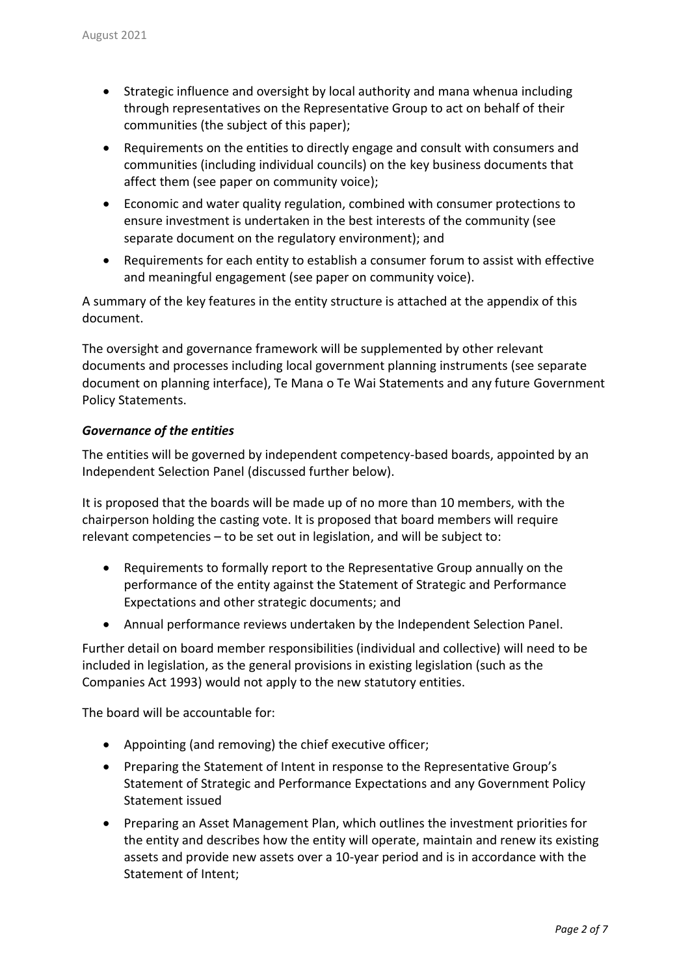- Strategic influence and oversight by local authority and mana whenua including through representatives on the Representative Group to act on behalf of their communities (the subject of this paper);
- Requirements on the entities to directly engage and consult with consumers and communities (including individual councils) on the key business documents that affect them (see paper on community voice);
- Economic and water quality regulation, combined with consumer protections to ensure investment is undertaken in the best interests of the community (see separate document on the regulatory environment); and
- Requirements for each entity to establish a consumer forum to assist with effective and meaningful engagement (see paper on community voice).

A summary of the key features in the entity structure is attached at the appendix of this document.

The oversight and governance framework will be supplemented by other relevant documents and processes including local government planning instruments (see separate document on planning interface), Te Mana o Te Wai Statements and any future Government Policy Statements.

#### *Governance of the entities*

The entities will be governed by independent competency-based boards, appointed by an Independent Selection Panel (discussed further below).

It is proposed that the boards will be made up of no more than 10 members, with the chairperson holding the casting vote. It is proposed that board members will require relevant competencies – to be set out in legislation, and will be subject to:

- Requirements to formally report to the Representative Group annually on the performance of the entity against the Statement of Strategic and Performance Expectations and other strategic documents; and
- Annual performance reviews undertaken by the Independent Selection Panel.

Further detail on board member responsibilities (individual and collective) will need to be included in legislation, as the general provisions in existing legislation (such as the Companies Act 1993) would not apply to the new statutory entities.

The board will be accountable for:

- Appointing (and removing) the chief executive officer;
- Preparing the Statement of Intent in response to the Representative Group's Statement of Strategic and Performance Expectations and any Government Policy Statement issued
- Preparing an Asset Management Plan, which outlines the investment priorities for the entity and describes how the entity will operate, maintain and renew its existing assets and provide new assets over a 10-year period and is in accordance with the Statement of Intent;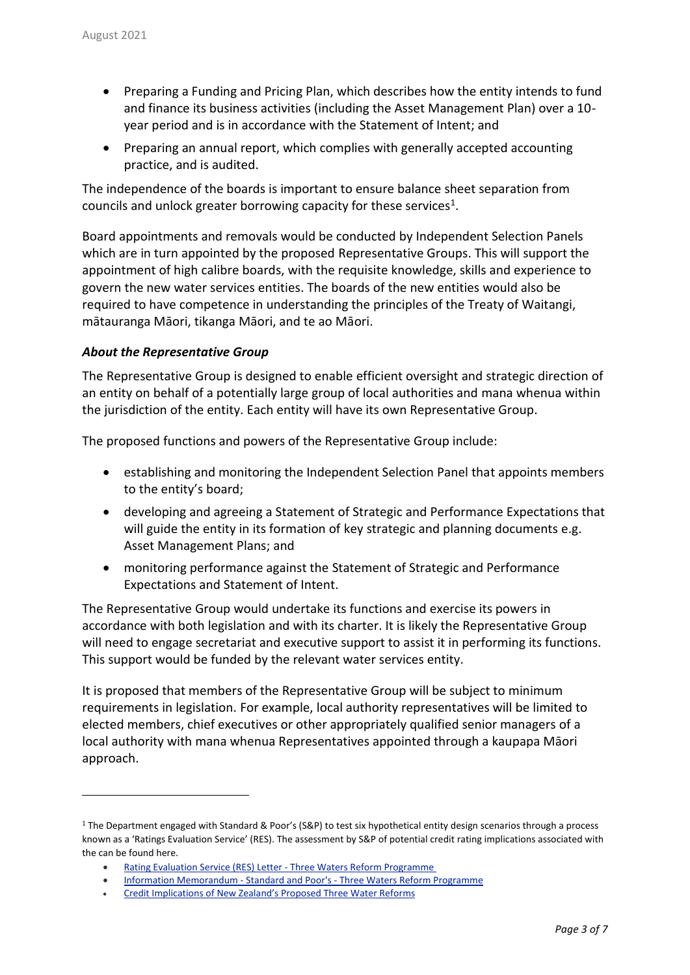- Preparing a Funding and Pricing Plan, which describes how the entity intends to fund and finance its business activities (including the Asset Management Plan) over a 10 year period and is in accordance with the Statement of Intent; and
- Preparing an annual report, which complies with generally accepted accounting practice, and is audited.

The independence of the boards is important to ensure balance sheet separation from councils and unlock greater borrowing capacity for these services $^1$ .

Board appointments and removals would be conducted by Independent Selection Panels which are in turn appointed by the proposed Representative Groups. This will support the appointment of high calibre boards, with the requisite knowledge, skills and experience to govern the new water services entities. The boards of the new entities would also be required to have competence in understanding the principles of the Treaty of Waitangi, mātauranga Māori, tikanga Māori, and te ao Māori.

#### *About the Representative Group*

l

The Representative Group is designed to enable efficient oversight and strategic direction of an entity on behalf of a potentially large group of local authorities and mana whenua within the jurisdiction of the entity. Each entity will have its own Representative Group.

The proposed functions and powers of the Representative Group include:

- establishing and monitoring the Independent Selection Panel that appoints members to the entity's board;
- developing and agreeing a Statement of Strategic and Performance Expectations that will guide the entity in its formation of key strategic and planning documents e.g. Asset Management Plans; and
- monitoring performance against the Statement of Strategic and Performance Expectations and Statement of Intent.

The Representative Group would undertake its functions and exercise its powers in accordance with both legislation and with its charter. It is likely the Representative Group will need to engage secretariat and executive support to assist it in performing its functions. This support would be funded by the relevant water services entity.

It is proposed that members of the Representative Group will be subject to minimum requirements in legislation. For example, local authority representatives will be limited to elected members, chief executives or other appropriately qualified senior managers of a local authority with mana whenua Representatives appointed through a kaupapa Māori approach.

<sup>&</sup>lt;sup>1</sup> The Department engaged with Standard & Poor's (S&P) to test six hypothetical entity design scenarios through a process known as a 'Ratings Evaluation Service' (RES). The assessment by S&P of potential credit rating implications associated with the can be found here.

Rating Evaluation Service (RES) Letter - Three Waters Reform [Programme](https://www.dia.govt.nz/diawebsite.nsf/Files/Three-waters-reform-programme/$file/rating-evaluation-service-res-letter-three-waters-reform-programme.pdf)

<sup>•</sup> Information [Memorandum](https://www.dia.govt.nz/diawebsite.nsf/Files/Three-waters-reform-programme/$file/information-memorandum-standard-and-poors-three-waters-reform-programme.pdf) - Standard and Poor's - Three Waters Reform Programme

<sup>•</sup> Credit [Implications](https://www.dia.govt.nz/diawebsite.nsf/Files/Three-waters-reform-programme/$file/credit-implications-of-new-zealands-proposed-three-water-reforms.PDF) of New Zealand's Proposed Three Water Reforms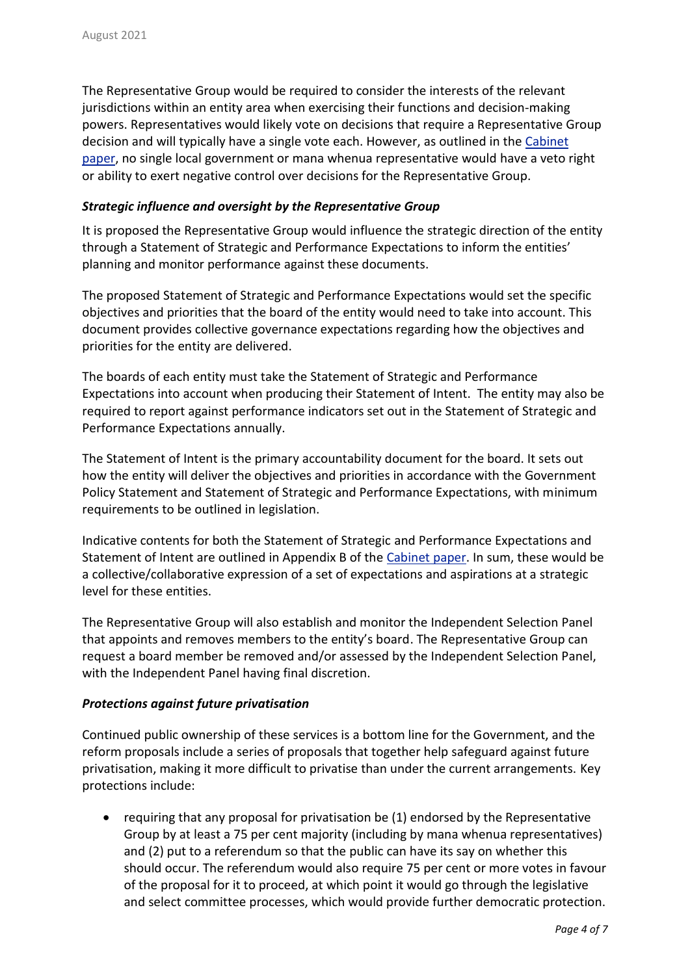The Representative Group would be required to consider the interests of the relevant jurisdictions within an entity area when exercising their functions and decision-making powers. Representatives would likely vote on decisions that require a Representative Group decision and will typically have a single vote each. However, as outlined in the [Cabinet](https://www.dia.govt.nz/diawebsite.nsf/Files/Three-waters-reform-programme/$file/cabinet-paper-two-and-minute-designing-the-new-three-waters-service-delivery-entities-30-june-2021.002.pdf) [paper,](https://www.dia.govt.nz/diawebsite.nsf/Files/Three-waters-reform-programme/$file/cabinet-paper-two-and-minute-designing-the-new-three-waters-service-delivery-entities-30-june-2021.002.pdf) no single local government or mana whenua representative would have a veto right or ability to exert negative control over decisions for the Representative Group.

#### *Strategic influence and oversight by the Representative Group*

It is proposed the Representative Group would influence the strategic direction of the entity through a Statement of Strategic and Performance Expectations to inform the entities' planning and monitor performance against these documents.

The proposed Statement of Strategic and Performance Expectations would set the specific objectives and priorities that the board of the entity would need to take into account. This document provides collective governance expectations regarding how the objectives and priorities for the entity are delivered.

The boards of each entity must take the Statement of Strategic and Performance Expectations into account when producing their Statement of Intent. The entity may also be required to report against performance indicators set out in the Statement of Strategic and Performance Expectations annually.

The Statement of Intent is the primary accountability document for the board. It sets out how the entity will deliver the objectives and priorities in accordance with the Government Policy Statement and Statement of Strategic and Performance Expectations, with minimum requirements to be outlined in legislation.

Indicative contents for both the Statement of Strategic and Performance Expectations and Statement of Intent are outlined in Appendix B of the [Cabinet](https://www.dia.govt.nz/diawebsite.nsf/Files/Three-waters-reform-programme/$file/cabinet-paper-two-and-minute-designing-the-new-three-waters-service-delivery-entities-30-june-2021.002.pdf) paper. In sum, these would be a collective/collaborative expression of a set of expectations and aspirations at a strategic level for these entities.

The Representative Group will also establish and monitor the Independent Selection Panel that appoints and removes members to the entity's board. The Representative Group can request a board member be removed and/or assessed by the Independent Selection Panel, with the Independent Panel having final discretion.

#### *Protections against future privatisation*

Continued public ownership of these services is a bottom line for the Government, and the reform proposals include a series of proposals that together help safeguard against future privatisation, making it more difficult to privatise than under the current arrangements. Key protections include:

• requiring that any proposal for privatisation be (1) endorsed by the Representative Group by at least a 75 per cent majority (including by mana whenua representatives) and (2) put to a referendum so that the public can have its say on whether this should occur. The referendum would also require 75 per cent or more votes in favour of the proposal for it to proceed, at which point it would go through the legislative and select committee processes, which would provide further democratic protection.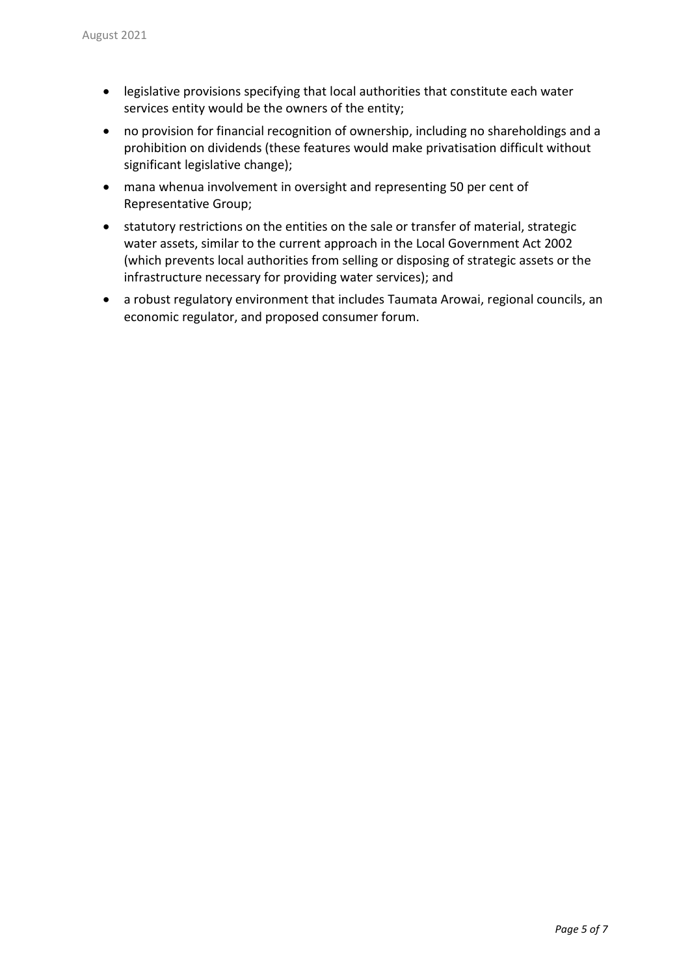- legislative provisions specifying that local authorities that constitute each water services entity would be the owners of the entity;
- no provision for financial recognition of ownership, including no shareholdings and a prohibition on dividends (these features would make privatisation difficult without significant legislative change);
- mana whenua involvement in oversight and representing 50 per cent of Representative Group;
- statutory restrictions on the entities on the sale or transfer of material, strategic water assets, similar to the current approach in the Local Government Act 2002 (which prevents local authorities from selling or disposing of strategic assets or the infrastructure necessary for providing water services); and
- a robust regulatory environment that includes Taumata Arowai, regional councils, an economic regulator, and proposed consumer forum.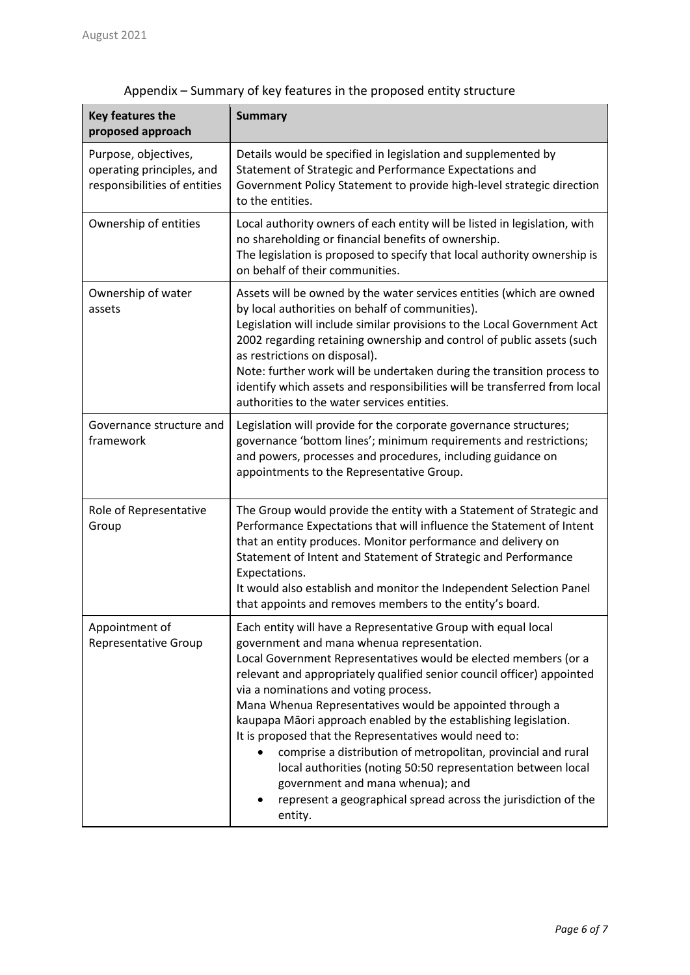| Key features the<br>proposed approach                                             | <b>Summary</b>                                                                                                                                                                                                                                                                                                                                                                                                                                                                                                                                                                                                                                                                                                                               |
|-----------------------------------------------------------------------------------|----------------------------------------------------------------------------------------------------------------------------------------------------------------------------------------------------------------------------------------------------------------------------------------------------------------------------------------------------------------------------------------------------------------------------------------------------------------------------------------------------------------------------------------------------------------------------------------------------------------------------------------------------------------------------------------------------------------------------------------------|
| Purpose, objectives,<br>operating principles, and<br>responsibilities of entities | Details would be specified in legislation and supplemented by<br>Statement of Strategic and Performance Expectations and<br>Government Policy Statement to provide high-level strategic direction<br>to the entities.                                                                                                                                                                                                                                                                                                                                                                                                                                                                                                                        |
| Ownership of entities                                                             | Local authority owners of each entity will be listed in legislation, with<br>no shareholding or financial benefits of ownership.<br>The legislation is proposed to specify that local authority ownership is<br>on behalf of their communities.                                                                                                                                                                                                                                                                                                                                                                                                                                                                                              |
| Ownership of water<br>assets                                                      | Assets will be owned by the water services entities (which are owned<br>by local authorities on behalf of communities).<br>Legislation will include similar provisions to the Local Government Act<br>2002 regarding retaining ownership and control of public assets (such<br>as restrictions on disposal).<br>Note: further work will be undertaken during the transition process to<br>identify which assets and responsibilities will be transferred from local<br>authorities to the water services entities.                                                                                                                                                                                                                           |
| Governance structure and<br>framework                                             | Legislation will provide for the corporate governance structures;<br>governance 'bottom lines'; minimum requirements and restrictions;<br>and powers, processes and procedures, including guidance on<br>appointments to the Representative Group.                                                                                                                                                                                                                                                                                                                                                                                                                                                                                           |
| Role of Representative<br>Group                                                   | The Group would provide the entity with a Statement of Strategic and<br>Performance Expectations that will influence the Statement of Intent<br>that an entity produces. Monitor performance and delivery on<br>Statement of Intent and Statement of Strategic and Performance<br>Expectations.<br>It would also establish and monitor the Independent Selection Panel<br>that appoints and removes members to the entity's board.                                                                                                                                                                                                                                                                                                           |
| Appointment of<br><b>Representative Group</b>                                     | Each entity will have a Representative Group with equal local<br>government and mana whenua representation.<br>Local Government Representatives would be elected members (or a<br>relevant and appropriately qualified senior council officer) appointed<br>via a nominations and voting process.<br>Mana Whenua Representatives would be appointed through a<br>kaupapa Māori approach enabled by the establishing legislation.<br>It is proposed that the Representatives would need to:<br>comprise a distribution of metropolitan, provincial and rural<br>local authorities (noting 50:50 representation between local<br>government and mana whenua); and<br>represent a geographical spread across the jurisdiction of the<br>entity. |

# Appendix – Summary of key features in the proposed entity structure